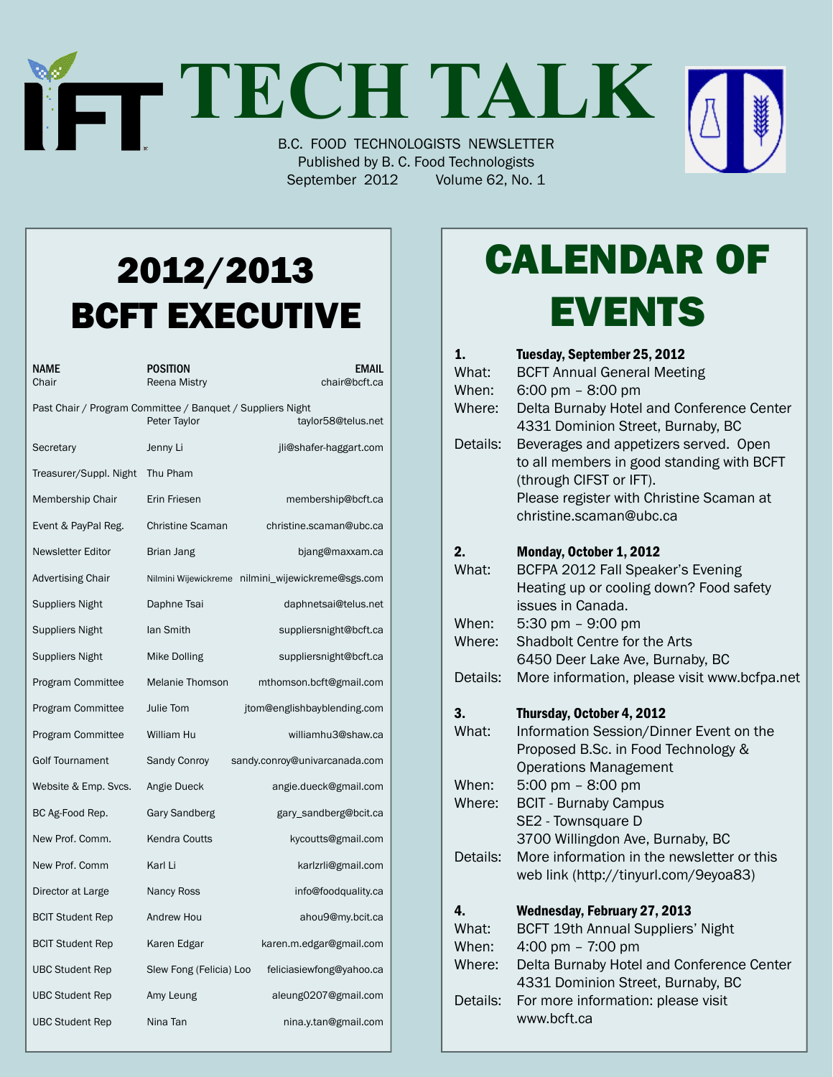# **TECH TALK** B.C. FOOD TECHNOLOGISTS NEWSLETTER

Published by B. C. Food Technologists September 2012 Volume 62, No. 1

## 2012/2013 BCFT EXECUTIVE

| NAME<br>Chair                                                                                    | POSITION<br>Reena Mistry | EMAIL<br>chair@bcft.ca                            |  |
|--------------------------------------------------------------------------------------------------|--------------------------|---------------------------------------------------|--|
| Past Chair / Program Committee / Banquet / Suppliers Night<br>Peter Taylor<br>taylor58@telus.net |                          |                                                   |  |
| Secretary                                                                                        | Jenny Li                 | jli@shafer-haggart.com                            |  |
| Treasurer/Suppl. Night                                                                           | Thu Pham                 |                                                   |  |
| Membership Chair                                                                                 | Erin Friesen             | membership@bcft.ca                                |  |
| Event & PayPal Reg.                                                                              | <b>Christine Scaman</b>  | christine.scaman@ubc.ca                           |  |
| <b>Newsletter Editor</b>                                                                         | Brian Jang               | bjang@maxxam.ca                                   |  |
| <b>Advertising Chair</b>                                                                         |                          | Nilmini Wijewickreme nilmini_wijewickreme@sgs.com |  |
| <b>Suppliers Night</b>                                                                           | Daphne Tsai              | daphnetsai@telus.net                              |  |
| Suppliers Night                                                                                  | lan Smith                | suppliersnight@bcft.ca                            |  |
| Suppliers Night                                                                                  | Mike Dolling             | suppliersnight@bcft.ca                            |  |
| Program Committee                                                                                | <b>Melanie Thomson</b>   | mthomson.bcft@gmail.com                           |  |
| Program Committee                                                                                | Julie Tom                | jtom@englishbayblending.com                       |  |
| Program Committee                                                                                | William Hu               | williamhu3@shaw.ca                                |  |
| <b>Golf Tournament</b>                                                                           | Sandy Conroy             | sandy.conroy@univarcanada.com                     |  |
| Website & Emp. Svcs.                                                                             | Angie Dueck              | angie.dueck@gmail.com                             |  |
| BC Ag-Food Rep.                                                                                  | Gary Sandberg            | gary_sandberg@bcit.ca                             |  |
| New Prof. Comm.                                                                                  | Kendra Coutts            | kycoutts@gmail.com                                |  |
| New Prof. Comm                                                                                   | Karl Li                  | karlzrli@gmail.com                                |  |
| Director at Large                                                                                | <b>Nancy Ross</b>        | info@foodquality.ca                               |  |
| <b>BCIT Student Rep</b>                                                                          | Andrew Hou               | ahou9@my.bcit.ca                                  |  |
| <b>BCIT Student Rep</b>                                                                          | Karen Edgar              | karen.m.edgar@gmail.com                           |  |
| <b>UBC Student Rep</b>                                                                           | Slew Fong (Felicia) Loo  | feliciasiewfong@yahoo.ca                          |  |
| <b>UBC Student Rep</b>                                                                           | Amy Leung                | aleung0207@gmail.com                              |  |
| <b>UBC Student Rep</b>                                                                           | Nina Tan                 | nina.y.tan@gmail.com                              |  |

# Calendar Of **EVENTS**

| 1.       | Tuesday, September 25, 2012                       |
|----------|---------------------------------------------------|
| What:    | <b>BCFT Annual General Meeting</b>                |
| When:    | 6:00 pm $-$ 8:00 pm                               |
| Where:   | Delta Burnaby Hotel and Conference Center         |
|          | 4331 Dominion Street, Burnaby, BC                 |
| Details: | Beverages and appetizers served. Open             |
|          | to all members in good standing with BCFT         |
|          | (through CIFST or IFT).                           |
|          | Please register with Christine Scaman at          |
|          | christine.scaman@ubc.ca                           |
| 2.       | Monday, October 1, 2012                           |
| What:    | BCFPA 2012 Fall Speaker's Evening                 |
|          | Heating up or cooling down? Food safety           |
|          | issues in Canada.                                 |
| When:    | 5:30 pm $-$ 9:00 pm                               |
| Where:   | Shadbolt Centre for the Arts                      |
|          | 6450 Deer Lake Ave, Burnaby, BC                   |
| Details: | More information, please visit www.bcfpa.net      |
|          |                                                   |
| 3.       | Thursday, October 4, 2012                         |
| What:    | Information Session/Dinner Event on the           |
|          | Proposed B.Sc. in Food Technology &               |
|          | <b>Operations Management</b>                      |
| When:    | 5:00 pm $-$ 8:00 pm                               |
| Where:   | <b>BCIT - Burnaby Campus</b>                      |
|          | SE2 - Townsquare D                                |
|          | 3700 Willingdon Ave, Burnaby, BC                  |
| Details: | More information in the newsletter or this        |
|          | web link (http://tinyurl.com/9eyoa83)             |
| 4.       | <b>Wednesday, February 27, 2013</b>               |
| What:    | <b>BCFT 19th Annual Suppliers' Night</b>          |
| When:    | 4:00 pm $- 7:00$ pm                               |
| Where:   | Delta Burnaby Hotel and Conference Center         |
|          | 4331 Dominion Street, Burnaby, BC                 |
| Details: | For more information: please visit<br>www.bcft.ca |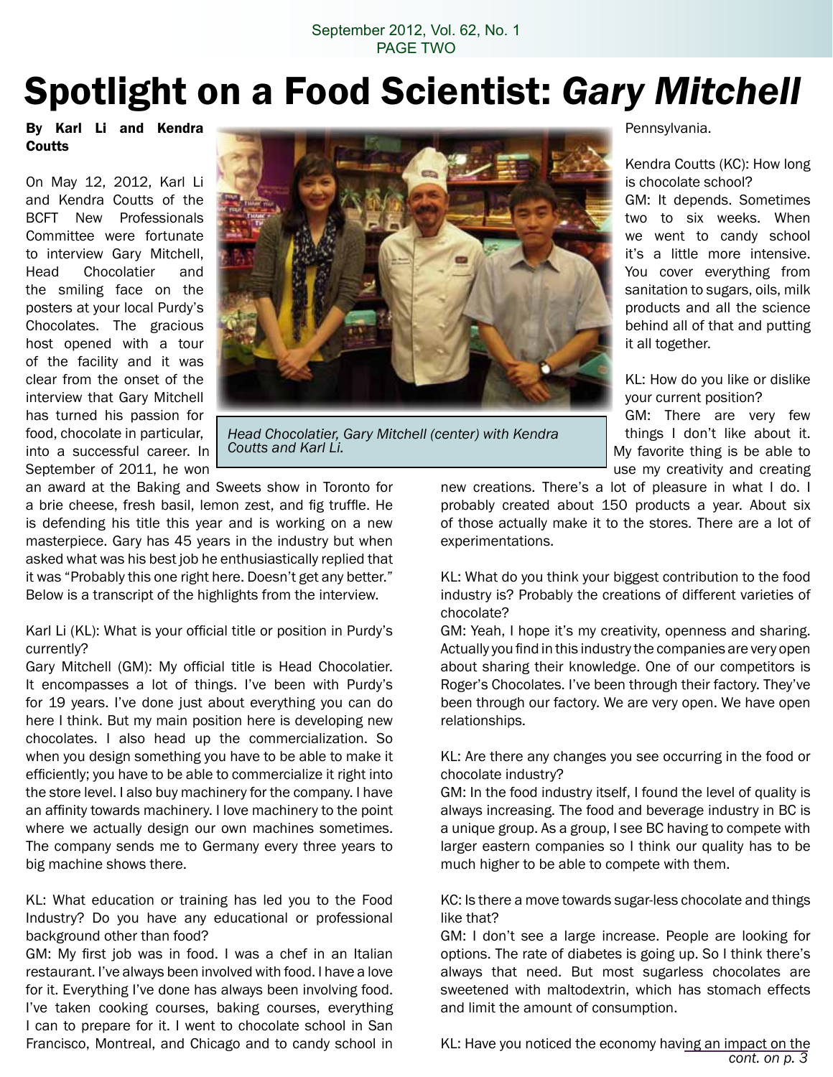## Spotlight on a Food Scientist: *Gary Mitchell*

By Karl Li and Kendra **Coutts** 

On May 12, 2012, Karl Li and Kendra Coutts of the BCFT New Professionals Committee were fortunate to interview Gary Mitchell, Head Chocolatier and the smiling face on the posters at your local Purdy's Chocolates. The gracious host opened with a tour of the facility and it was clear from the onset of the interview that Gary Mitchell has turned his passion for food, chocolate in particular, into a successful career. In September of 2011, he won



*Head Chocolatier, Gary Mitchell (center) with Kendra Coutts and Karl Li.* 

an award at the Baking and Sweets show in Toronto for a brie cheese, fresh basil, lemon zest, and fig truffle. He is defending his title this year and is working on a new masterpiece. Gary has 45 years in the industry but when asked what was his best job he enthusiastically replied that it was "Probably this one right here. Doesn't get any better." Below is a transcript of the highlights from the interview.

Karl Li (KL): What is your official title or position in Purdy's currently?

Gary Mitchell (GM): My official title is Head Chocolatier. It encompasses a lot of things. I've been with Purdy's for 19 years. I've done just about everything you can do here I think. But my main position here is developing new chocolates. I also head up the commercialization. So when you design something you have to be able to make it efficiently; you have to be able to commercialize it right into the store level. I also buy machinery for the company. I have an affinity towards machinery. I love machinery to the point where we actually design our own machines sometimes. The company sends me to Germany every three years to big machine shows there.

KL: What education or training has led you to the Food Industry? Do you have any educational or professional background other than food?

GM: My first job was in food. I was a chef in an Italian restaurant. I've always been involved with food. I have a love for it. Everything I've done has always been involving food. I've taken cooking courses, baking courses, everything I can to prepare for it. I went to chocolate school in San Francisco, Montreal, and Chicago and to candy school in

Pennsylvania.

Kendra Coutts (KC): How long is chocolate school?

GM: It depends. Sometimes two to six weeks. When we went to candy school it's a little more intensive. You cover everything from sanitation to sugars, oils, milk products and all the science behind all of that and putting it all together.

KL: How do you like or dislike your current position?

GM: There are very few things I don't like about it. My favorite thing is be able to use my creativity and creating

new creations. There's a lot of pleasure in what I do. I probably created about 150 products a year. About six of those actually make it to the stores. There are a lot of experimentations.

KL: What do you think your biggest contribution to the food industry is? Probably the creations of different varieties of chocolate?

GM: Yeah, I hope it's my creativity, openness and sharing. Actually you find in this industry the companies are very open about sharing their knowledge. One of our competitors is Roger's Chocolates. I've been through their factory. They've been through our factory. We are very open. We have open relationships.

KL: Are there any changes you see occurring in the food or chocolate industry?

GM: In the food industry itself, I found the level of quality is always increasing. The food and beverage industry in BC is a unique group. As a group, I see BC having to compete with larger eastern companies so I think our quality has to be much higher to be able to compete with them.

KC: Is there a move towards sugar-less chocolate and things like that?

GM: I don't see a large increase. People are looking for options. The rate of diabetes is going up. So I think there's always that need. But most sugarless chocolates are sweetened with maltodextrin, which has stomach effects and limit the amount of consumption.

KL: Have you noticed the economy having an impact on the *cont. on p. 3*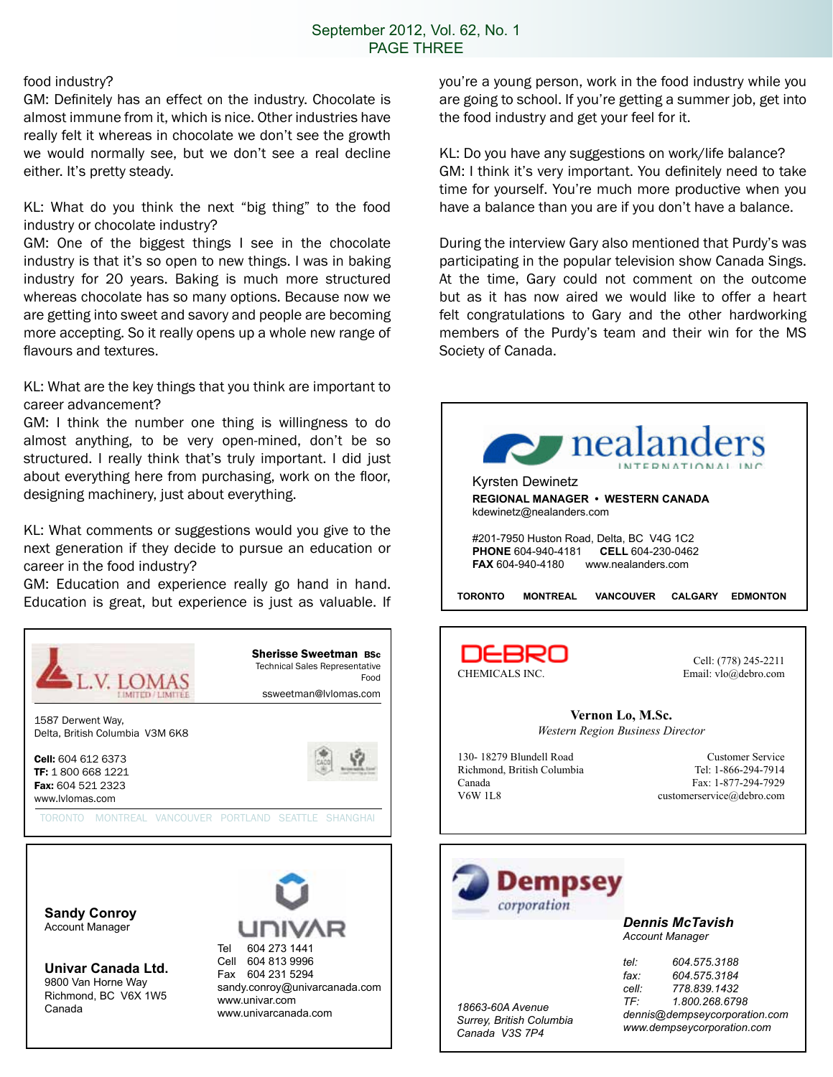#### food industry?

GM: Definitely has an effect on the industry. Chocolate is almost immune from it, which is nice. Other industries have really felt it whereas in chocolate we don't see the growth we would normally see, but we don't see a real decline either. It's pretty steady.

KL: What do you think the next "big thing" to the food industry or chocolate industry?

GM: One of the biggest things I see in the chocolate industry is that it's so open to new things. I was in baking industry for 20 years. Baking is much more structured whereas chocolate has so many options. Because now we are getting into sweet and savory and people are becoming more accepting. So it really opens up a whole new range of flavours and textures.

KL: What are the key things that you think are important to career advancement?

GM: I think the number one thing is willingness to do almost anything, to be very open-mined, don't be so structured. I really think that's truly important. I did just about everything here from purchasing, work on the floor, designing machinery, just about everything.

KL: What comments or suggestions would you give to the next generation if they decide to pursue an education or career in the food industry?

GM: Education and experience really go hand in hand.



**Sandy Conroy** Account Manager

**Univar Canada Ltd.** 9800 Van Horne Way Richmond, BC V6X 1W5 Canada



you're a young person, work in the food industry while you are going to school. If you're getting a summer job, get into the food industry and get your feel for it.

KL: Do you have any suggestions on work/life balance? GM: I think it's very important. You definitely need to take time for yourself. You're much more productive when you have a balance than you are if you don't have a balance.

During the interview Gary also mentioned that Purdy's was participating in the popular television show Canada Sings. At the time, Gary could not comment on the outcome but as it has now aired we would like to offer a heart felt congratulations to Gary and the other hardworking members of the Purdy's team and their win for the MS Society of Canada.





*18663-60A Avenue*

*Canada V3S 7P4*

*Dennis McTavish Account Manager*

*Surrey, British Columbia tel: 604.575.3188 fax: 604.575.3184 cell: 778.839.1432 TF: 1.800.268.6798 dennis@dempseycorporation.com www.dempseycorporation.com*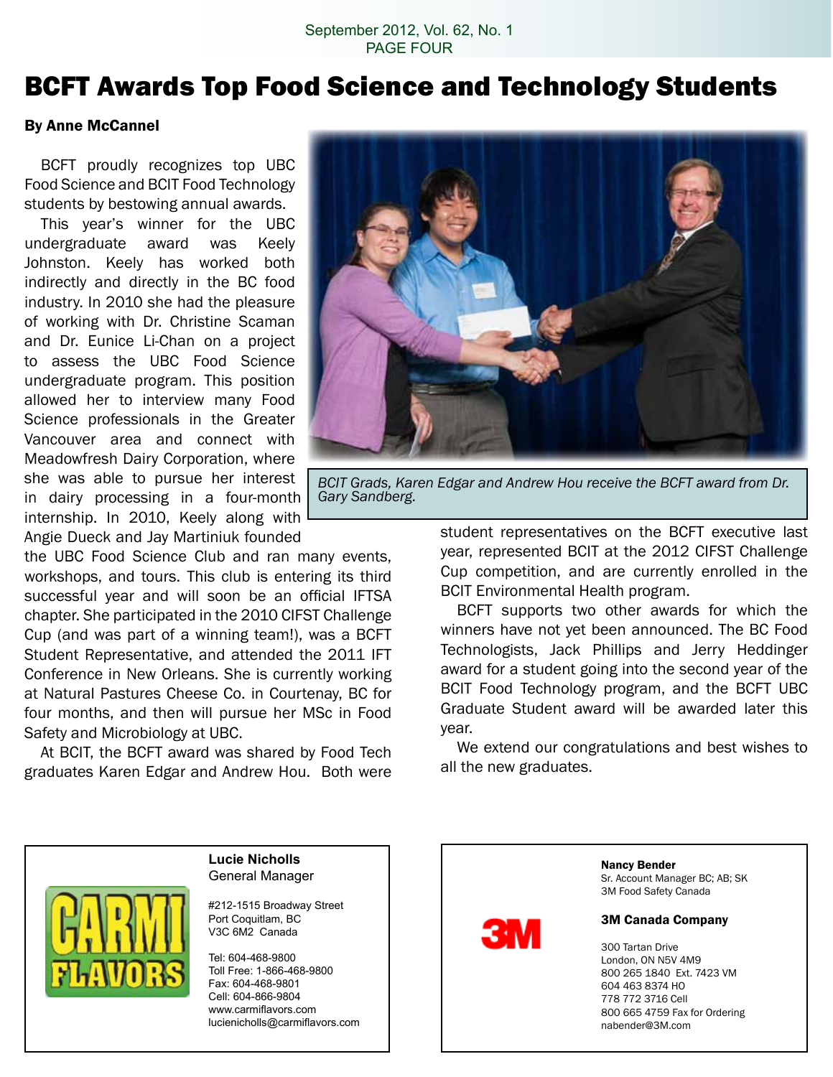### BCFT Awards Top Food Science and Technology Students

#### By Anne McCannel

 BCFT proudly recognizes top UBC Food Science and BCIT Food Technology students by bestowing annual awards.

 This year's winner for the UBC undergraduate award was Keely Johnston. Keely has worked both indirectly and directly in the BC food industry. In 2010 she had the pleasure of working with Dr. Christine Scaman and Dr. Eunice Li-Chan on a project to assess the UBC Food Science undergraduate program. This position allowed her to interview many Food Science professionals in the Greater Vancouver area and connect with Meadowfresh Dairy Corporation, where she was able to pursue her interest in dairy processing in a four-month internship. In 2010, Keely along with Angie Dueck and Jay Martiniuk founded

the UBC Food Science Club and ran many events, workshops, and tours. This club is entering its third successful year and will soon be an official IFTSA chapter. She participated in the 2010 CIFST Challenge Cup (and was part of a winning team!), was a BCFT Student Representative, and attended the 2011 IFT Conference in New Orleans. She is currently working at Natural Pastures Cheese Co. in Courtenay, BC for four months, and then will pursue her MSc in Food Safety and Microbiology at UBC.

 At BCIT, the BCFT award was shared by Food Tech graduates Karen Edgar and Andrew Hou. Both were



*BCIT Grads, Karen Edgar and Andrew Hou receive the BCFT award from Dr. Gary Sandberg.*

student representatives on the BCFT executive last year, represented BCIT at the 2012 CIFST Challenge Cup competition, and are currently enrolled in the BCIT Environmental Health program.

 BCFT supports two other awards for which the winners have not yet been announced. The BC Food Technologists, Jack Phillips and Jerry Heddinger award for a student going into the second year of the BCIT Food Technology program, and the BCFT UBC Graduate Student award will be awarded later this year.

 We extend our congratulations and best wishes to all the new graduates.



#### **Lucie Nicholls** General Manager

#212-1515 Broadway Street Port Coquitlam, BC V3C 6M2 Canada

Tel: 604-468-9800 Toll Free: 1-866-468-9800 Fax: 604-468-9801 Cell: 604-866-9804 www.carmiflavors.com lucienicholls@carmiflavors.com



Nancy Bender Sr. Account Manager BC; AB; SK

3M Food Safety Canada

#### 3M Canada Company

 Tartan Drive London, ON N5V 4M9 265 1840 Ext. 7423 VM 463 8374 HO 772 3716 Cell 665 4759 Fax for Ordering nabender@3M.com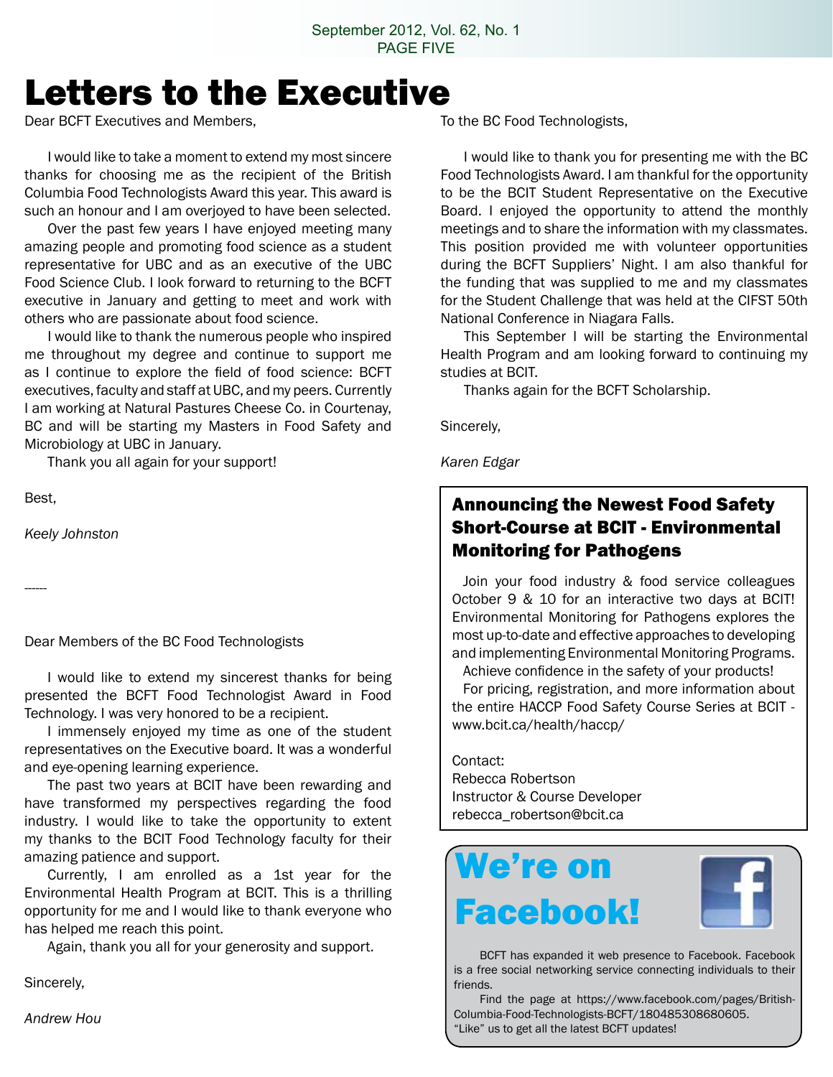## Letters to the Executive

Dear BCFT Executives and Members,

 I would like to take a moment to extend my most sincere thanks for choosing me as the recipient of the British Columbia Food Technologists Award this year. This award is such an honour and I am overjoyed to have been selected.

 Over the past few years I have enjoyed meeting many amazing people and promoting food science as a student representative for UBC and as an executive of the UBC Food Science Club. I look forward to returning to the BCFT executive in January and getting to meet and work with others who are passionate about food science.

 I would like to thank the numerous people who inspired me throughout my degree and continue to support me as I continue to explore the field of food science: BCFT executives, faculty and staff at UBC, and my peers. Currently I am working at Natural Pastures Cheese Co. in Courtenay, BC and will be starting my Masters in Food Safety and Microbiology at UBC in January.

 Thank you all again for your support!

Best,

*Keely Johnston*

------

Dear Members of the BC Food Technologists

 I would like to extend my sincerest thanks for being presented the BCFT Food Technologist Award in Food Technology. I was very honored to be a recipient.

 I immensely enjoyed my time as one of the student representatives on the Executive board. It was a wonderful and eye-opening learning experience.

 The past two years at BCIT have been rewarding and have transformed my perspectives regarding the food industry. I would like to take the opportunity to extent my thanks to the BCIT Food Technology faculty for their amazing patience and support.

 Currently, I am enrolled as a 1st year for the Environmental Health Program at BCIT. This is a thrilling opportunity for me and I would like to thank everyone who has helped me reach this point.

 Again, thank you all for your generosity and support.

Sincerely,

*Andrew Hou*

To the BC Food Technologists,

 I would like to thank you for presenting me with the BC Food Technologists Award. I am thankful for the opportunity to be the BCIT Student Representative on the Executive Board. I enjoyed the opportunity to attend the monthly meetings and to share the information with my classmates. This position provided me with volunteer opportunities during the BCFT Suppliers' Night. I am also thankful for the funding that was supplied to me and my classmates for the Student Challenge that was held at the CIFST 50th National Conference in Niagara Falls.

 This September I will be starting the Environmental Health Program and am looking forward to continuing my studies at BCIT.

 Thanks again for the BCFT Scholarship.

Sincerely,

*Karen Edgar*

#### Announcing the Newest Food Safety Short-Course at BCIT - Environmental Monitoring for Pathogens

 Join your food industry & food service colleagues October 9 & 10 for an interactive two days at BCIT! Environmental Monitoring for Pathogens explores the most up-to-date and effective approaches to developing and implementing Environmental Monitoring Programs.

 Achieve confidence in the safety of your products! For pricing, registration, and more information about the entire HACCP Food Safety Course Series at BCIT www.bcit.ca/health/haccp/

Contact: Rebecca Robertson Instructor & Course Developer rebecca\_robertson@bcit.ca

## We're on Facebook!



 BCFT has expanded it web presence to Facebook. Facebook is a free social networking service connecting individuals to their friends.

 Find the page at https://www.facebook.com/pages/British-Columbia-Food-Technologists-BCFT/180485308680605. "Like" us to get all the latest BCFT updates!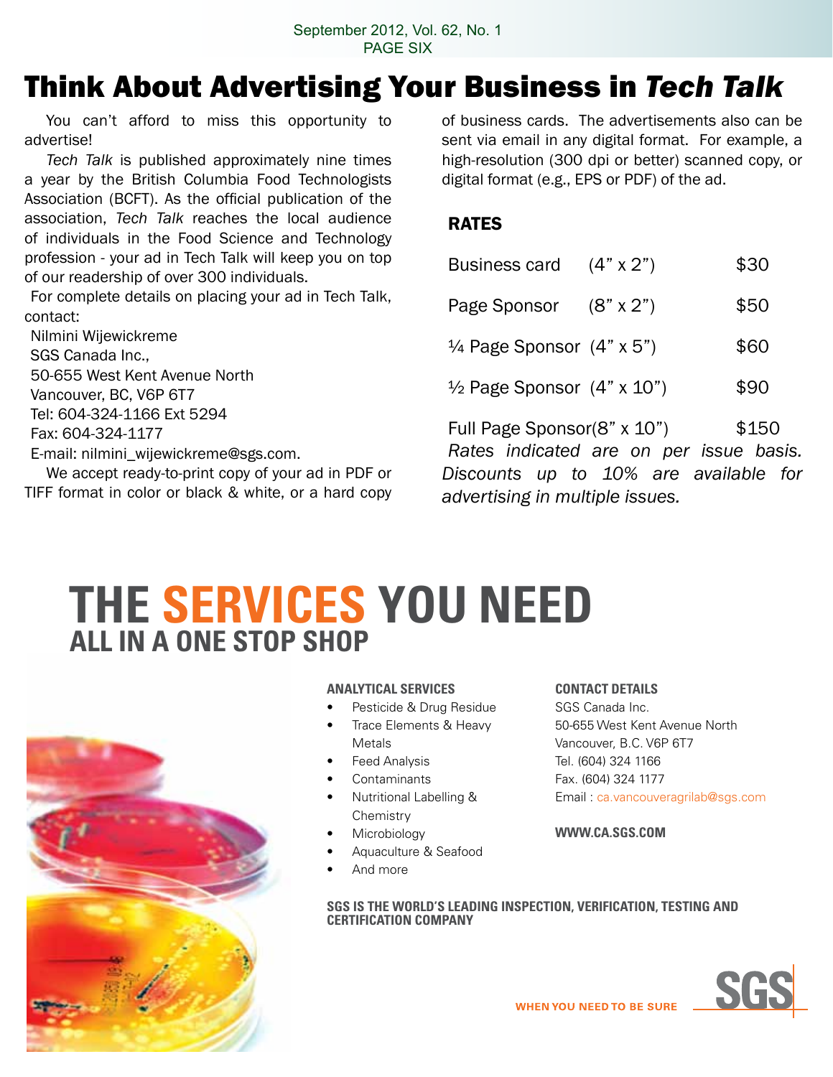### Think About Advertising Your Business in *Tech Talk*

You can't afford to miss this opportunity to advertise!

*Tech Talk* is published approximately nine times a year by the British Columbia Food Technologists Association (BCFT). As the official publication of the association, *Tech Talk* reaches the local audience of individuals in the Food Science and Technology profession - your ad in Tech Talk will keep you on top of our readership of over 300 individuals.

For complete details on placing your ad in Tech Talk, contact:

Nilmini Wijewickreme SGS Canada Inc., 50-655 West Kent Avenue North Vancouver, BC, V6P 6T7 Tel: 604-324-1166 Ext 5294 Fax: 604-324-1177 E-mail: nilmini\_wijewickreme@sgs.com.

 We accept ready-to-print copy of your ad in PDF or TIFF format in color or black & white, or a hard copy of business cards. The advertisements also can be sent via email in any digital format. For example, a high-resolution (300 dpi or better) scanned copy, or digital format (e.g., EPS or PDF) of the ad.

#### RATES

| Business card $(4" \times 2")$               |                                         | \$30  |
|----------------------------------------------|-----------------------------------------|-------|
| Page Sponsor $(8" \times 2")$                |                                         | \$50  |
| $\frac{1}{4}$ Page Sponsor $(4" \times 5")$  |                                         | \$60  |
| $\frac{1}{2}$ Page Sponsor $(4" \times 10")$ |                                         | \$90  |
| Full Page Sponsor(8" x 10")                  | Rates indicated are on per issue basis. | \$150 |
|                                              | Discounts up to 10% are available for   |       |

**THE SERVICES YOu NEED ALL IN A ONE STOP SHOP**



#### **ANALYTICAL SERVICES**

- Pesticide & Drug Residue
- Trace Elements & Heavy Metals
- **Feed Analysis**
- **Contaminants**
- **Nutritional Labelling & Chemistry**
- **Microbiology**
- Aquaculture & Seafood
- And more

#### **CONTACT DETAILS**

*advertising in multiple issues.*

SGS Canada Inc. 50-655 West Kent Avenue North Vancouver, B.C. V6P 6T7 Tel. (604) 324 1166 Fax. (604) 324 1177 Email : ca.vancouveragrilab@sgs.com

#### **WWW.CA.SGS.COM**

**SGS IS THE WORLD'S LEADING INSPECTION, VERIFICATION, TESTING AND CERTIFICATION COMPANY**

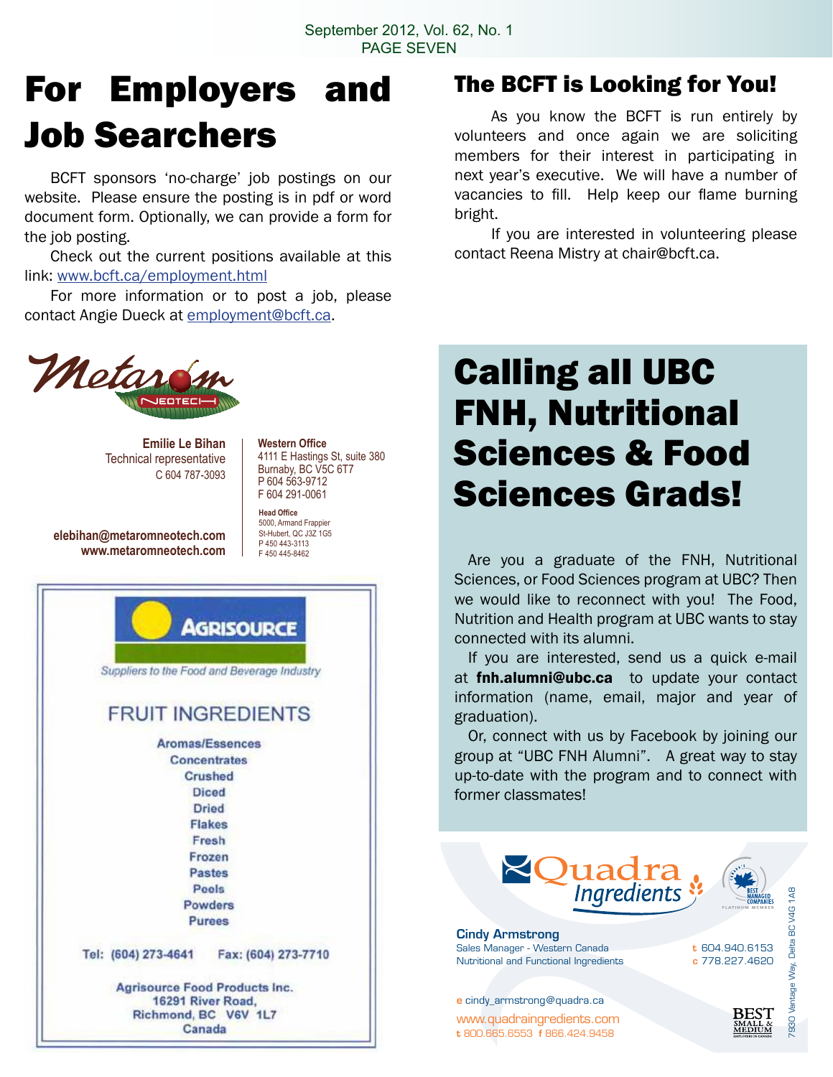## For Employers and Job Searchers

 BCFT sponsors 'no-charge' job postings on our website. Please ensure the posting is in pdf or word document form. Optionally, we can provide a form for the job posting.

 Check out the current positions available at this link: www.bcft.ca/employment.html

 For more information or to post a job, please contact Angie Dueck at employment@bcft.ca.



**Emilie Le Bihan** Technical representative C 604 787-3093

**elebihan@metaromneotech.com www.metaromneotech.com**

**Western Office** 4111 E Hastings St, suite 380 Burnaby, BC V5C 6T7 P 604 563-9712 F 604 291-0061

**Head Office** 5000, Armand Frappier St-Hubert, QC J3Z 1G5 P 450 443-3113 F 450 445-8462



### The BCFT is Looking for You!

 As you know the BCFT is run entirely by volunteers and once again we are soliciting members for their interest in participating in next year's executive. We will have a number of vacancies to fill. Help keep our flame burning bright.

 If you are interested in volunteering please contact Reena Mistry at chair@bcft.ca.

## Calling all UBC FNH, Nutritional Sciences & Food Sciences Grads!

 Are you a graduate of the FNH, Nutritional Sciences, or Food Sciences program at UBC? Then we would like to reconnect with you! The Food, Nutrition and Health program at UBC wants to stay connected with its alumni.

 If you are interested, send us a quick e-mail at **fnh.alumni@ubc.ca** to update your contact information (name, email, major and year of graduation).

 Or, connect with us by Facebook by joining our group at "UBC FNH Alumni". A great way to stay up-to-date with the program and to connect with former classmates!

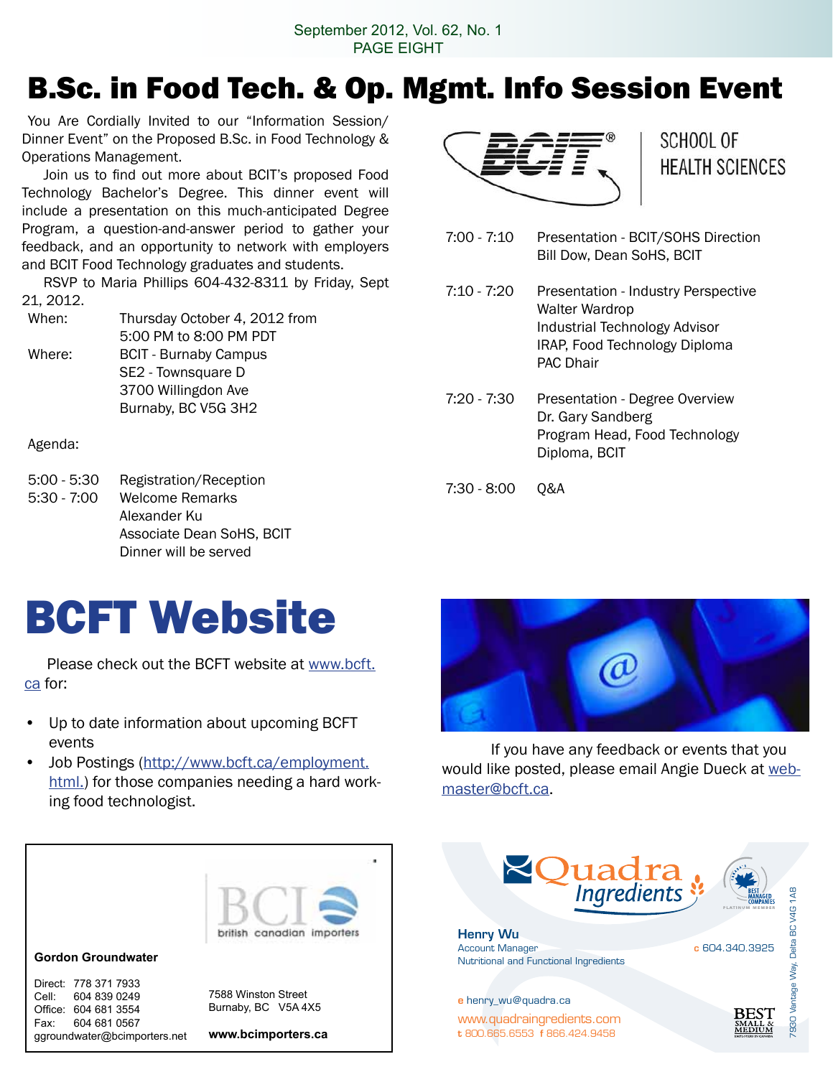September 2012, Vol. 62, No. 1 PAGE EIGHT

### B.Sc. in Food Tech. & Op. Mgmt. Info Session Event

You Are Cordially Invited to our "Information Session/ Dinner Event" on the Proposed B.Sc. in Food Technology & Operations Management.

 Join us to find out more about BCIT's proposed Food Technology Bachelor's Degree. This dinner event will include a presentation on this much-anticipated Degree Program, a question-and-answer period to gather your feedback, and an opportunity to network with employers and BCIT Food Technology graduates and students.

 RSVP to Maria Phillips 604-432-8311 by Friday, Sept 21, 2012.

| When:  | Thursday October 4, 2012 from |
|--------|-------------------------------|
|        | 5:00 PM to 8:00 PM PDT        |
| Where: | <b>BCIT - Burnaby Campus</b>  |
|        | SE2 - Townsquare D            |
|        | 3700 Willingdon Ave           |
|        | Burnaby, BC V5G 3H2           |

Agenda:

5:00 - 5:30 Registration/Reception 5:30 - 7:00 Welcome Remarks Alexander Ku Associate Dean SoHS, BCIT Dinner will be served



SCHOOL OF **HEALTH SCIENCES** 

7:00 - 7:10 Presentation - BCIT/SOHS Direction Bill Dow, Dean SoHS, BCIT

7:10 - 7:20 Presentation - Industry Perspective Walter Wardrop Industrial Technology Advisor IRAP, Food Technology Diploma PAC Dhair

- 7:20 7:30 Presentation Degree Overview Dr. Gary Sandberg Program Head, Food Technology Diploma, BCIT
- 7:30 8:00 Q&A

# BCFT Website

 Please check out the BCFT website at www.bcft. ca for:

- Up to date information about upcoming BCFT events
- Job Postings (http://www.bcft.ca/employment. html.) for those companies needing a hard working food technologist.



 If you have any feedback or events that you would like posted, please email Angie Dueck at webmaster@bcft.ca.